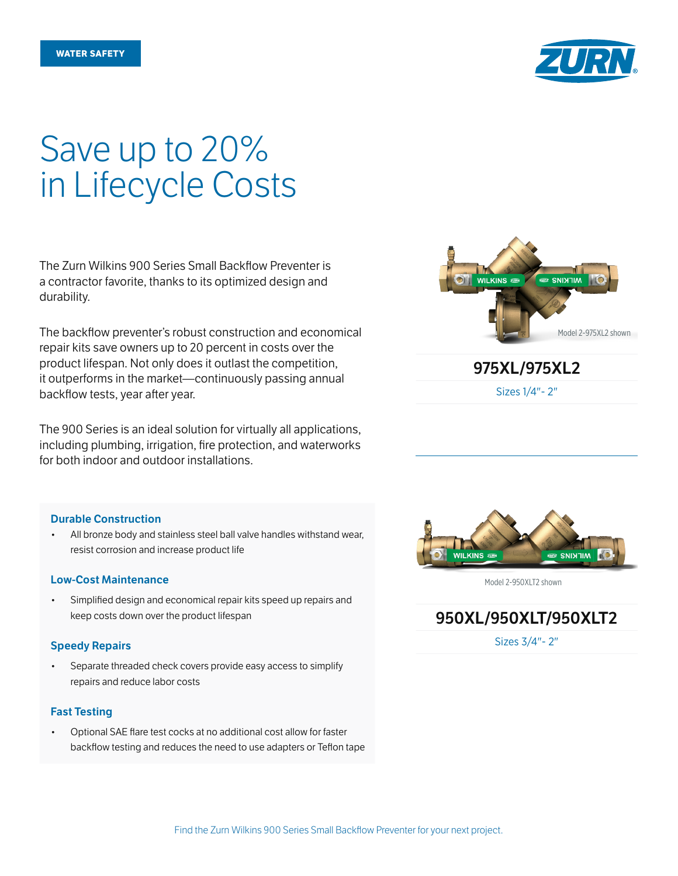

# Save up to 20% in Lifecycle Costs

The Zurn Wilkins 900 Series Small Backflow Preventer is a contractor favorite, thanks to its optimized design and durability.

The backflow preventer's robust construction and economical repair kits save owners up to 20 percent in costs over the product lifespan. Not only does it outlast the competition, it outperforms in the market—continuously passing annual backflow tests, year after year.

The 900 Series is an ideal solution for virtually all applications, including plumbing, irrigation, fire protection, and waterworks for both indoor and outdoor installations.

## Durable Construction

• All bronze body and stainless steel ball valve handles withstand wear, resist corrosion and increase product life

## Low-Cost Maintenance

• Simplified design and economical repair kits speed up repairs and keep costs down over the product lifespan

## Speedy Repairs

Separate threaded check covers provide easy access to simplify repairs and reduce labor costs

## Fast Testing

• Optional SAE flare test cocks at no additional cost allow for faster backflow testing and reduces the need to use adapters or Teflon tape



Sizes 1/4"- 2"



Model 2-950XLT2 shown

950XL/950XLT/950XLT2

Sizes 3/4"- 2"